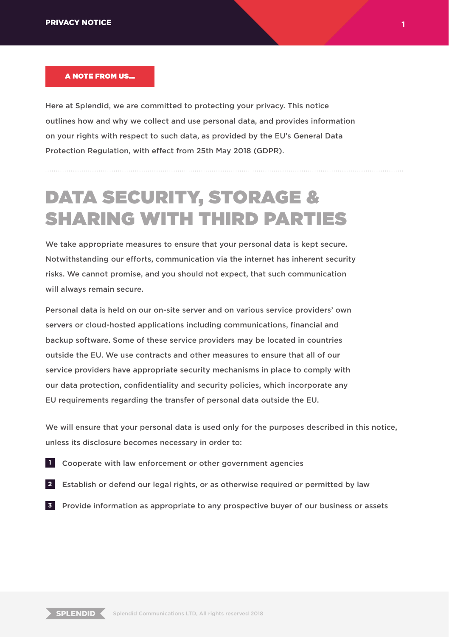#### A NOTE FROM US...

Here at Splendid, we are committed to protecting your privacy. This notice outlines how and why we collect and use personal data, and provides information on your rights with respect to such data, as provided by the EU's General Data Protection Regulation, with effect from 25th May 2018 (GDPR).

# DATA SECURITY, STORAGE & SHARING WITH THIRD PARTIES

We take appropriate measures to ensure that your personal data is kept secure. Notwithstanding our efforts, communication via the internet has inherent security risks. We cannot promise, and you should not expect, that such communication will always remain secure.

Personal data is held on our on-site server and on various service providers' own servers or cloud-hosted applications including communications, financial and backup software. Some of these service providers may be located in countries outside the EU. We use contracts and other measures to ensure that all of our service providers have appropriate security mechanisms in place to comply with our data protection, confidentiality and security policies, which incorporate any EU requirements regarding the transfer of personal data outside the EU.

We will ensure that your personal data is used only for the purposes described in this notice, unless its disclosure becomes necessary in order to:

- Cooperate with law enforcement or other government agencies **1**
- Establish or defend our legal rights, or as otherwise required or permitted by law **2**
- Provide information as appropriate to any prospective buyer of our business or assets **3**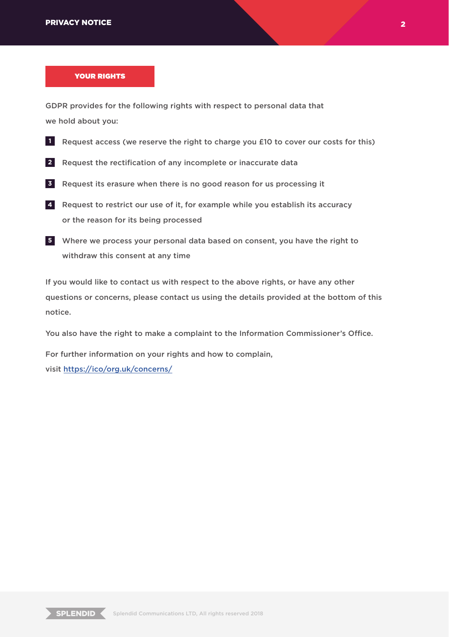#### YOUR RIGHTS

GDPR provides for the following rights with respect to personal data that we hold about you:

- **I** Request access (we reserve the right to charge you £10 to cover our costs for this)
- 2 Request the rectification of any incomplete or inaccurate data
- Request its erasure when there is no good reason for us processing it **3**
- Request to restrict our use of it, for example while you establish its accuracy **4** or the reason for its being processed
- Where we process your personal data based on consent, you have the right to **5** withdraw this consent at any time

If you would like to contact us with respect to the above rights, or have any other questions or concerns, please contact us using the details provided at the bottom of this notice.

You also have the right to make a complaint to the Information Commissioner's Office.

For further information on your rights and how to complain, visit https://ico/org.uk/concerns/

 $\overline{\text{SPLENDID}}$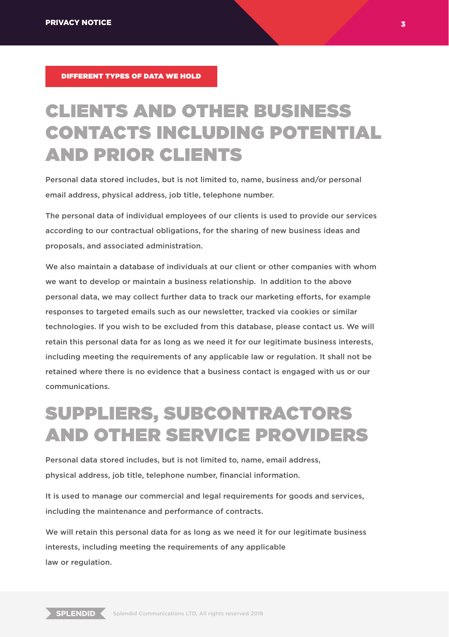DIFFERENT TYPES OF DATA WE HOLD

## CLIENTS AND OTHER BUSINESS CONTACTS INCLUDING POTENTIAL AND PRIOR CLIENTS

Personal data stored includes, but is not limited to, name, business and/or personal email address, physical address, job title, telephone number.

The personal data of individual employees of our clients is used to provide our services according to our contractual obligations, for the sharing of new business ideas and proposals, and associated administration.

We also maintain a database of individuals at our client or other companies with whom we want to develop or maintain a business relationship. In addition to the above personal data, we may collect further data to track our marketing efforts, for example responses to targeted emails such as our newsletter, tracked via cookies or similar technologies. If you wish to be excluded from this database, please contact us. We will retain this personal data for as long as we need it for our legitimate business interests, including meeting the requirements of any applicable law or regulation. It shall not be retained where there is no evidence that a business contact is engaged with us or our communications.

### SUPPLIERS, SUBCONTRACTORS AND OTHER SERVICE PROVIDERS

Personal data stored includes, but is not limited to, name, email address, physical address, job title, telephone number, financial information.

It is used to manage our commercial and legal requirements for goods and services, including the maintenance and performance of contracts.

We will retain this personal data for as long as we need it for our legitimate business interests, including meeting the requirements of any applicable law or regulation.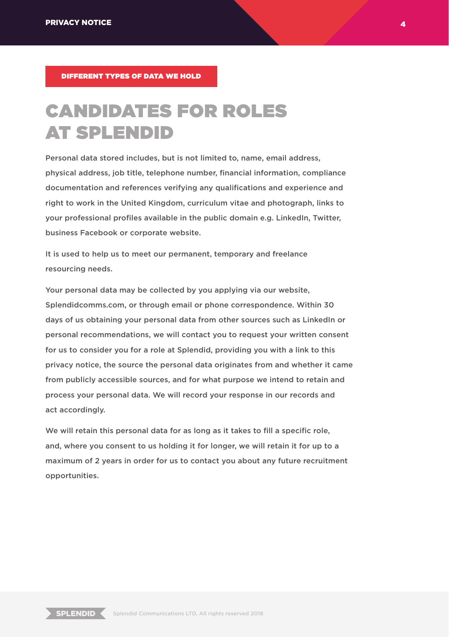DIFFERENT TYPES OF DATA WE HOLD

## CANDIDATES FOR ROLES AT SPLENDID

Personal data stored includes, but is not limited to, name, email address, physical address, job title, telephone number, financial information, compliance documentation and references verifying any qualifications and experience and right to work in the United Kingdom, curriculum vitae and photograph, links to your professional profiles available in the public domain e.g. LinkedIn, Twitter, business Facebook or corporate website.

It is used to help us to meet our permanent, temporary and freelance resourcing needs.

Your personal data may be collected by you applying via our website, Splendidcomms.com, or through email or phone correspondence. Within 30 days of us obtaining your personal data from other sources such as LinkedIn or personal recommendations, we will contact you to request your written consent for us to consider you for a role at Splendid, providing you with a link to this privacy notice, the source the personal data originates from and whether it came from publicly accessible sources, and for what purpose we intend to retain and process your personal data. We will record your response in our records and act accordingly.

We will retain this personal data for as long as it takes to fill a specific role, and, where you consent to us holding it for longer, we will retain it for up to a maximum of 2 years in order for us to contact you about any future recruitment opportunities.